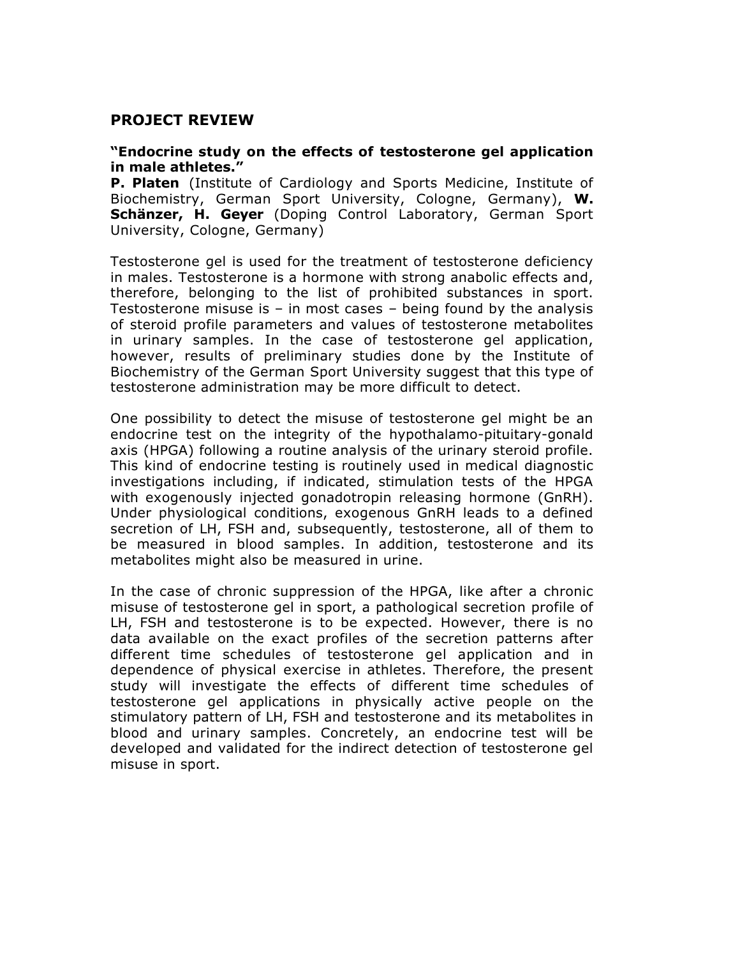# **PROJECT REVIEW**

#### **"Endocrine study on the effects of testosterone gel application in male athletes."**

**P. Platen** (Institute of Cardiology and Sports Medicine, Institute of Biochemistry, German Sport University, Cologne, Germany), **W. Schänzer, H. Geyer** (Doping Control Laboratory, German Sport University, Cologne, Germany)

Testosterone gel is used for the treatment of testosterone deficiency in males. Testosterone is a hormone with strong anabolic effects and, therefore, belonging to the list of prohibited substances in sport. Testosterone misuse is – in most cases – being found by the analysis of steroid profile parameters and values of testosterone metabolites in urinary samples. In the case of testosterone gel application, however, results of preliminary studies done by the Institute of Biochemistry of the German Sport University suggest that this type of testosterone administration may be more difficult to detect.

One possibility to detect the misuse of testosterone gel might be an endocrine test on the integrity of the hypothalamo-pituitary-gonald axis (HPGA) following a routine analysis of the urinary steroid profile. This kind of endocrine testing is routinely used in medical diagnostic investigations including, if indicated, stimulation tests of the HPGA with exogenously injected gonadotropin releasing hormone (GnRH). Under physiological conditions, exogenous GnRH leads to a defined secretion of LH, FSH and, subsequently, testosterone, all of them to be measured in blood samples. In addition, testosterone and its metabolites might also be measured in urine.

In the case of chronic suppression of the HPGA, like after a chronic misuse of testosterone gel in sport, a pathological secretion profile of LH, FSH and testosterone is to be expected. However, there is no data available on the exact profiles of the secretion patterns after different time schedules of testosterone gel application and in dependence of physical exercise in athletes. Therefore, the present study will investigate the effects of different time schedules of testosterone gel applications in physically active people on the stimulatory pattern of LH, FSH and testosterone and its metabolites in blood and urinary samples. Concretely, an endocrine test will be developed and validated for the indirect detection of testosterone gel misuse in sport.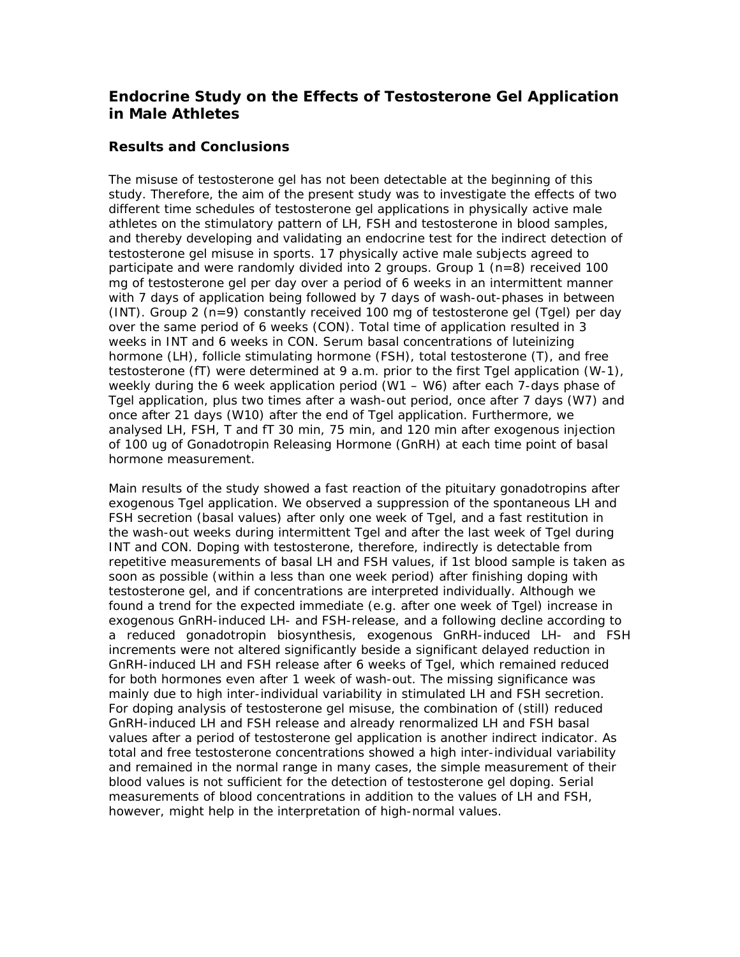# **Endocrine Study on the Effects of Testosterone Gel Application in Male Athletes**

### **Results and Conclusions**

The misuse of testosterone gel has not been detectable at the beginning of this study. Therefore, the aim of the present study was to investigate the effects of two different time schedules of testosterone gel applications in physically active male athletes on the stimulatory pattern of LH, FSH and testosterone in blood samples, and thereby developing and validating an endocrine test for the indirect detection of testosterone gel misuse in sports. 17 physically active male subjects agreed to participate and were randomly divided into 2 groups. Group 1  $(n=8)$  received 100 mg of testosterone gel per day over a period of 6 weeks in an intermittent manner with 7 days of application being followed by 7 days of wash-out-phases in between  $(INT)$ . Group 2 (n=9) constantly received 100 mg of testosterone gel (Tgel) per day over the same period of 6 weeks (CON). Total time of application resulted in 3 weeks in INT and 6 weeks in CON. Serum basal concentrations of luteinizing hormone (LH), follicle stimulating hormone (FSH), total testosterone (T), and free testosterone (fT) were determined at 9 a.m. prior to the first Tgel application (W-1), weekly during the 6 week application period (W1 – W6) after each 7-days phase of Tgel application, plus two times after a wash-out period, once after 7 days (W7) and once after 21 days (W10) after the end of Tgel application. Furthermore, we analysed LH, FSH, T and fT 30 min, 75 min, and 120 min after exogenous injection of 100 ug of Gonadotropin Releasing Hormone (GnRH) at each time point of basal hormone measurement.

Main results of the study showed a fast reaction of the pituitary gonadotropins after exogenous Tgel application. We observed a suppression of the spontaneous LH and FSH secretion (basal values) after only one week of Tgel, and a fast restitution in the wash-out weeks during intermittent Tgel and after the last week of Tgel during INT and CON. Doping with testosterone, therefore, indirectly is detectable from repetitive measurements of basal LH and FSH values, if 1st blood sample is taken as soon as possible (within a less than one week period) after finishing doping with testosterone gel, and if concentrations are interpreted individually. Although we found a trend for the expected immediate (e.g. after one week of Tgel) increase in exogenous GnRH-induced LH- and FSH-release, and a following decline according to a reduced gonadotropin biosynthesis, exogenous GnRH-induced LH- and FSH increments were not altered significantly beside a significant delayed reduction in GnRH-induced LH and FSH release after 6 weeks of Tgel, which remained reduced for both hormones even after 1 week of wash-out. The missing significance was mainly due to high inter-individual variability in stimulated LH and FSH secretion. For doping analysis of testosterone gel misuse, the combination of (still) reduced GnRH-induced LH and FSH release and already renormalized LH and FSH basal values after a period of testosterone gel application is another indirect indicator. As total and free testosterone concentrations showed a high inter-individual variability and remained in the normal range in many cases, the simple measurement of their blood values is not sufficient for the detection of testosterone gel doping. Serial measurements of blood concentrations in addition to the values of LH and FSH, however, might help in the interpretation of high-normal values.